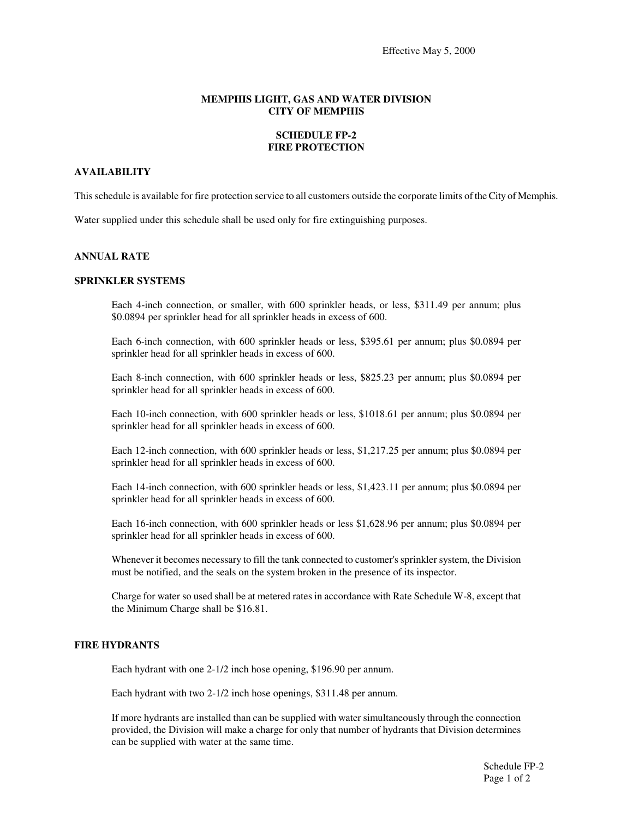# **MEMPHIS LIGHT, GAS AND WATER DIVISION CITY OF MEMPHIS**

# **SCHEDULE FP-2 FIRE PROTECTION**

# **AVAILABILITY**

Thisschedule is available for fire protection service to all customers outside the corporate limits ofthe City of Memphis.

Water supplied under this schedule shall be used only for fire extinguishing purposes.

#### **ANNUAL RATE**

#### **SPRINKLER SYSTEMS**

Each 4-inch connection, or smaller, with 600 sprinkler heads, or less, \$311.49 per annum; plus \$0.0894 per sprinkler head for all sprinkler heads in excess of 600.

Each 6-inch connection, with 600 sprinkler heads or less, \$395.61 per annum; plus \$0.0894 per sprinkler head for all sprinkler heads in excess of 600.

Each 8-inch connection, with 600 sprinkler heads or less, \$825.23 per annum; plus \$0.0894 per sprinkler head for all sprinkler heads in excess of 600.

Each 10-inch connection, with 600 sprinkler heads or less, \$1018.61 per annum; plus \$0.0894 per sprinkler head for all sprinkler heads in excess of 600.

Each 12-inch connection, with 600 sprinkler heads or less, \$1,217.25 per annum; plus \$0.0894 per sprinkler head for all sprinkler heads in excess of 600.

Each 14-inch connection, with 600 sprinkler heads or less, \$1,423.11 per annum; plus \$0.0894 per sprinkler head for all sprinkler heads in excess of 600.

Each 16-inch connection, with 600 sprinkler heads or less \$1,628.96 per annum; plus \$0.0894 per sprinkler head for all sprinkler heads in excess of 600.

Whenever it becomes necessary to fill the tank connected to customer's sprinkler system, the Division must be notified, and the seals on the system broken in the presence of its inspector.

Charge for water so used shall be at metered rates in accordance with Rate Schedule W-8, except that the Minimum Charge shall be \$16.81.

#### **FIRE HYDRANTS**

Each hydrant with one 2-1/2 inch hose opening, \$196.90 per annum.

Each hydrant with two 2-1/2 inch hose openings, \$311.48 per annum.

If more hydrants are installed than can be supplied with water simultaneously through the connection provided, the Division will make a charge for only that number of hydrants that Division determines can be supplied with water at the same time.